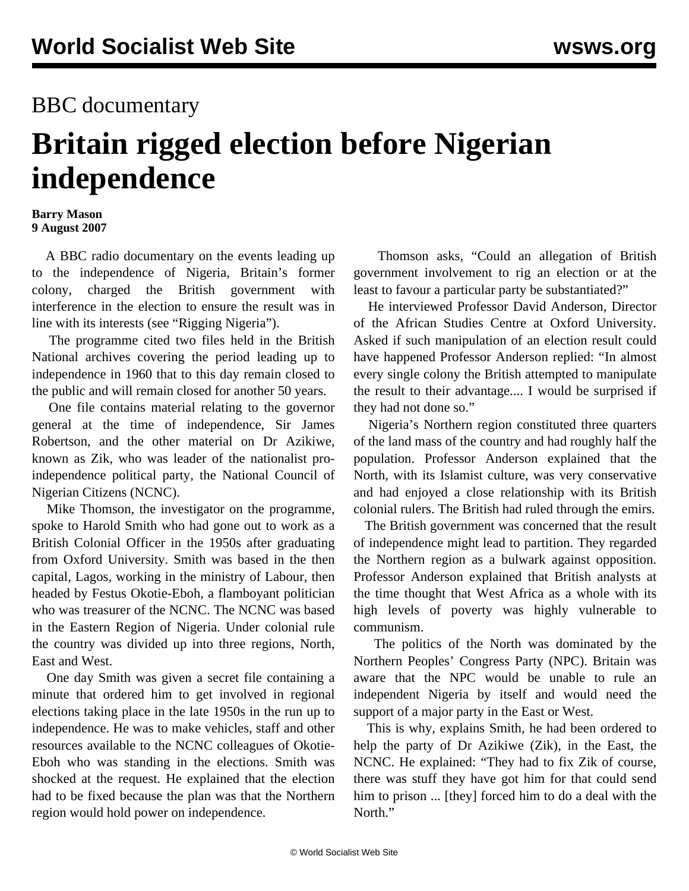## BBC documentary

## **Britain rigged election before Nigerian independence**

## **Barry Mason 9 August 2007**

 A BBC radio documentary on the events leading up to the independence of Nigeria, Britain's former colony, charged the British government with interference in the election to ensure the result was in line with its interests (see "[Rigging Nigeria](http://www.bbc.co.uk/radio4/history/document/index.shtml)").

 The programme cited two files held in the British National archives covering the period leading up to independence in 1960 that to this day remain closed to the public and will remain closed for another 50 years.

 One file contains material relating to the governor general at the time of independence, Sir James Robertson, and the other material on Dr Azikiwe, known as Zik, who was leader of the nationalist proindependence political party, the National Council of Nigerian Citizens (NCNC).

 Mike Thomson, the investigator on the programme, spoke to Harold Smith who had gone out to work as a British Colonial Officer in the 1950s after graduating from Oxford University. Smith was based in the then capital, Lagos, working in the ministry of Labour, then headed by Festus Okotie-Eboh, a flamboyant politician who was treasurer of the NCNC. The NCNC was based in the Eastern Region of Nigeria. Under colonial rule the country was divided up into three regions, North, East and West.

 One day Smith was given a secret file containing a minute that ordered him to get involved in regional elections taking place in the late 1950s in the run up to independence. He was to make vehicles, staff and other resources available to the NCNC colleagues of Okotie-Eboh who was standing in the elections. Smith was shocked at the request. He explained that the election had to be fixed because the plan was that the Northern region would hold power on independence.

 Thomson asks, "Could an allegation of British government involvement to rig an election or at the least to favour a particular party be substantiated?"

 He interviewed Professor David Anderson, Director of the African Studies Centre at Oxford University. Asked if such manipulation of an election result could have happened Professor Anderson replied: "In almost every single colony the British attempted to manipulate the result to their advantage.... I would be surprised if they had not done so."

 Nigeria's Northern region constituted three quarters of the land mass of the country and had roughly half the population. Professor Anderson explained that the North, with its Islamist culture, was very conservative and had enjoyed a close relationship with its British colonial rulers. The British had ruled through the emirs.

 The British government was concerned that the result of independence might lead to partition. They regarded the Northern region as a bulwark against opposition. Professor Anderson explained that British analysts at the time thought that West Africa as a whole with its high levels of poverty was highly vulnerable to communism.

 The politics of the North was dominated by the Northern Peoples' Congress Party (NPC). Britain was aware that the NPC would be unable to rule an independent Nigeria by itself and would need the support of a major party in the East or West.

 This is why, explains Smith, he had been ordered to help the party of Dr Azikiwe (Zik), in the East, the NCNC. He explained: "They had to fix Zik of course, there was stuff they have got him for that could send him to prison ... [they] forced him to do a deal with the North."